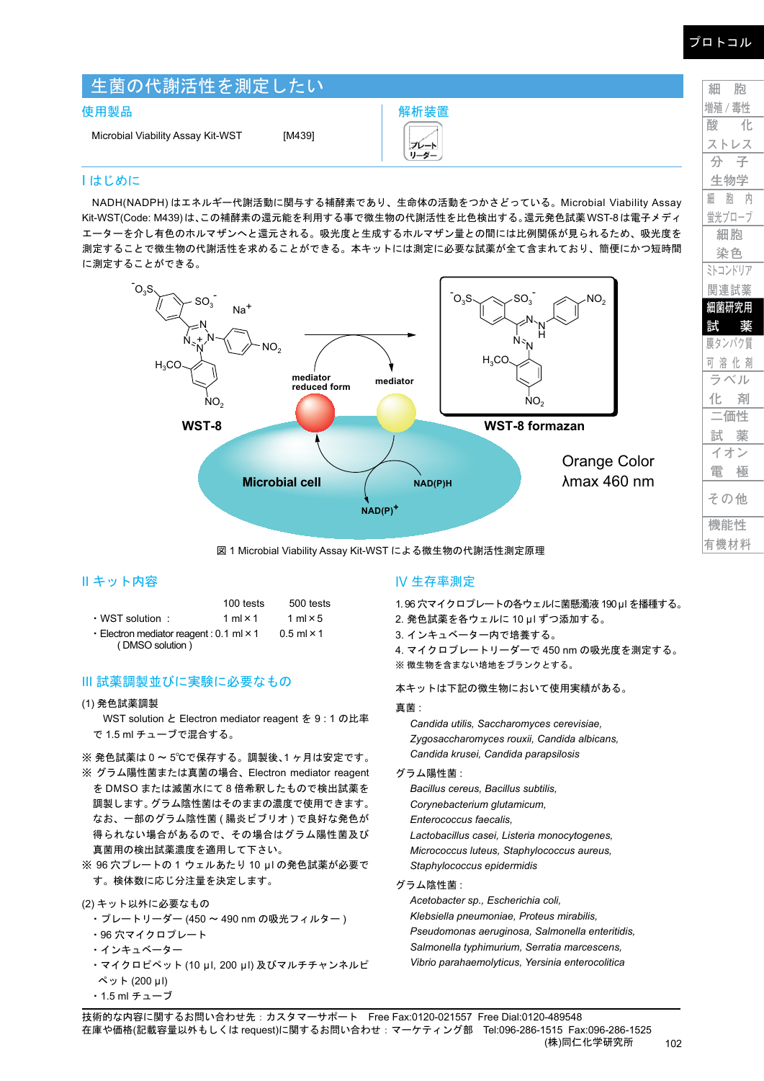| 生菌の代謝活性を測定したい                     |        |              |  |
|-----------------------------------|--------|--------------|--|
| 使用製品                              |        | 解析装置         |  |
| Microbial Viability Assay Kit-WST | [M439] | プレート<br>リーダー |  |

# I はじめに

NADH(NADPH) はエネルギー代謝活動に関与する補酵素であり、生命体の活動をつかさどっている。Microbial Viability Assay Kit-WST(Code: M439)は、この補酵素の還元能を利用する事で微生物の代謝活性を比色検出する。還元発色試薬WST-8は電子メディ エーターを介し有色のホルマザンへと還元される。吸光度と生成するホルマザン量との間には比例関係が見られるため、吸光度を 測定することで微生物の代謝活性を求めることができる。本キットには測定に必要な試薬が全て含まれており、簡便にかつ短時間 に測定することができる。



図 1 Microbial Viability Assay Kit-WST による微生物の代謝活性測定原理

## II キット内容

|                                                  | 100 tests           | 500 tests       |
|--------------------------------------------------|---------------------|-----------------|
| • WST solution:                                  | 1 ml $\times$ 1     | 1 ml $\times$ 5 |
| - Electron mediator reagent: $0.1$ ml $\times$ 1 | $0.5$ ml $\times$ 1 |                 |
| (DMSO solution)                                  |                     |                 |

## III 試薬調製並びに実験に必要なもの

### (1) 発色試薬調製

WST solution と Electron mediator reagent を 9 : 1 の比率 で 1.5 ml チューブで混合する。

※ 発色試薬は 0 ~ 5℃で保存する。調製後、1 ヶ月は安定です。

- ※ グラム陽性菌または真菌の場合、Electron mediator reagent を DMSO または滅菌水にて 8 倍希釈したもので検出試薬を 調製します。グラム陰性菌はそのままの濃度で使用できます。 なお、一部のグラム陰性菌 ( 腸炎ビブリオ ) で良好な発色が 得られない場合があるので、その場合はグラム陽性菌及び 真菌用の検出試薬濃度を適用して下さい。
- ※ 96 穴プレートの 1 ウェルあたり 10 μl の発色試薬が必要で す。検体数に応じ分注量を決定します。

(2) キット以外に必要なもの

- ・プレートリーダー (450 〜 490 nm の吸光フィルター )
- ・96 穴マイクロプレート
- ・インキュベーター
- ・マイクロピペット (10 μl, 200 μl) 及びマルチチャンネルピ ペット (200 μl)
- ・1.5 ml チューブ

### IV 生存率測定

1.96 穴マイクロプレートの各ウェルに菌懸濁液 190μl を播種する。

- 2. 発色試薬を各ウェルに 10 μl ずつ添加する。
- 3. インキュベーター内で培養する。
- 4. マイクロプレートリーダーで 450 nm の吸光度を測定する。 ※ 微生物を含まない培地をブランクとする。

本キットは下記の微生物において使用実績がある。

### 真菌 :

*Candida utilis, Saccharomyces cerevisiae, Zygosaccharomyces rouxii, Candida albicans, Candida krusei, Candida parapsilosis*

#### グラム陽性菌 :

*Bacillus cereus, Bacillus subtilis, Corynebacterium glutamicum, Enterococcus faecalis, Lactobacillus casei, Listeria monocytogenes, Micrococcus luteus, Staphylococcus aureus, Staphylococcus epidermidis*

### グラム陰性菌 :

*Acetobacter sp., Escherichia coli, Klebsiella pneumoniae, Proteus mirabilis, Pseudomonas aeruginosa, Salmonella enteritidis, Salmonella typhimurium, Serratia marcescens, Vibrio parahaemolyticus, Yersinia enterocolitica*

**細 胞 増殖 / 毒性 酸 化 ストレス 分 子 生物学 細 胞 内 蛍光プローブ 細胞 染色 ミトコンドリア 関連試薬 細菌研究用 試 薬 膜タンパク質 可 溶 化 剤 ラベル 化 剤 二価性 試 薬 イオン 電 極**

**機能性 有機材料**

**その他**